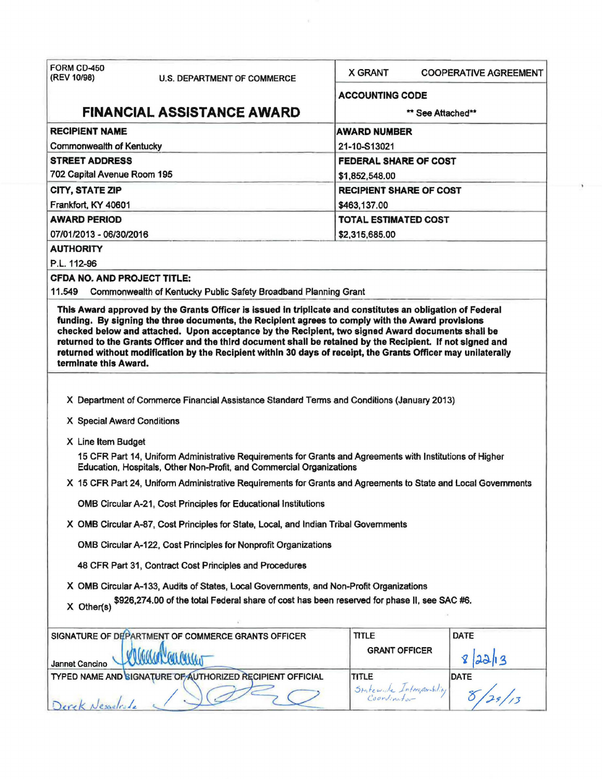| FORM CD-450<br>(REV 10/98)<br><b>U.S. DEPARTMENT OF COMMERCE</b>                                                                                                                                                                                                                                                                                                                                                                                                                                                                                                              | <b>X GRANT</b><br><b>COOPERATIVE AGREEMENT</b> |  |  |  |  |  |
|-------------------------------------------------------------------------------------------------------------------------------------------------------------------------------------------------------------------------------------------------------------------------------------------------------------------------------------------------------------------------------------------------------------------------------------------------------------------------------------------------------------------------------------------------------------------------------|------------------------------------------------|--|--|--|--|--|
|                                                                                                                                                                                                                                                                                                                                                                                                                                                                                                                                                                               | <b>ACCOUNTING CODE</b>                         |  |  |  |  |  |
| <b>FINANCIAL ASSISTANCE AWARD</b>                                                                                                                                                                                                                                                                                                                                                                                                                                                                                                                                             | ** See Attached**                              |  |  |  |  |  |
| <b>RECIPIENT NAME</b>                                                                                                                                                                                                                                                                                                                                                                                                                                                                                                                                                         | <b>AWARD NUMBER</b>                            |  |  |  |  |  |
| <b>Commonwealth of Kentucky</b>                                                                                                                                                                                                                                                                                                                                                                                                                                                                                                                                               | 21-10-S13021                                   |  |  |  |  |  |
| <b>STREET ADDRESS</b>                                                                                                                                                                                                                                                                                                                                                                                                                                                                                                                                                         | <b>FEDERAL SHARE OF COST</b>                   |  |  |  |  |  |
| 702 Capital Avenue Room 195                                                                                                                                                                                                                                                                                                                                                                                                                                                                                                                                                   | \$1,852,548.00                                 |  |  |  |  |  |
| <b>CITY, STATE ZIP</b>                                                                                                                                                                                                                                                                                                                                                                                                                                                                                                                                                        | <b>RECIPIENT SHARE OF COST</b>                 |  |  |  |  |  |
| Frankfort, KY 40601                                                                                                                                                                                                                                                                                                                                                                                                                                                                                                                                                           | \$463,137.00                                   |  |  |  |  |  |
| <b>AWARD PERIOD</b>                                                                                                                                                                                                                                                                                                                                                                                                                                                                                                                                                           | <b>TOTAL ESTIMATED COST</b>                    |  |  |  |  |  |
| 07/01/2013 - 06/30/2016                                                                                                                                                                                                                                                                                                                                                                                                                                                                                                                                                       | \$2,315,685.00                                 |  |  |  |  |  |
| <b>AUTHORITY</b>                                                                                                                                                                                                                                                                                                                                                                                                                                                                                                                                                              |                                                |  |  |  |  |  |
| P.L. 112-96                                                                                                                                                                                                                                                                                                                                                                                                                                                                                                                                                                   |                                                |  |  |  |  |  |
| <b>CFDA NO. AND PROJECT TITLE:</b>                                                                                                                                                                                                                                                                                                                                                                                                                                                                                                                                            |                                                |  |  |  |  |  |
| 11.549<br>Commonwealth of Kentucky Public Safety Broadband Planning Grant                                                                                                                                                                                                                                                                                                                                                                                                                                                                                                     |                                                |  |  |  |  |  |
| This Award approved by the Grants Officer is issued in triplicate and constitutes an obligation of Federal<br>funding. By signing the three documents, the Recipient agrees to comply with the Award provisions<br>checked below and attached. Upon acceptance by the Recipient, two signed Award documents shall be<br>returned to the Grants Officer and the third document shall be retained by the Recipient. If not signed and<br>returned without modification by the Recipient within 30 days of receipt, the Grants Officer may unilaterally<br>terminate this Award. |                                                |  |  |  |  |  |
|                                                                                                                                                                                                                                                                                                                                                                                                                                                                                                                                                                               |                                                |  |  |  |  |  |
| X Department of Commerce Financial Assistance Standard Terms and Conditions (January 2013)                                                                                                                                                                                                                                                                                                                                                                                                                                                                                    |                                                |  |  |  |  |  |
|                                                                                                                                                                                                                                                                                                                                                                                                                                                                                                                                                                               |                                                |  |  |  |  |  |
| X Special Award Conditions                                                                                                                                                                                                                                                                                                                                                                                                                                                                                                                                                    |                                                |  |  |  |  |  |
| X Line Item Budget                                                                                                                                                                                                                                                                                                                                                                                                                                                                                                                                                            |                                                |  |  |  |  |  |
| 15 CFR Part 14, Uniform Administrative Requirements for Grants and Agreements with Institutions of Higher<br>Education, Hospitals, Other Non-Profit, and Commercial Organizations                                                                                                                                                                                                                                                                                                                                                                                             |                                                |  |  |  |  |  |
| X 15 CFR Part 24, Uniform Administrative Requirements for Grants and Agreements to State and Local Governments                                                                                                                                                                                                                                                                                                                                                                                                                                                                |                                                |  |  |  |  |  |
| <b>OMB Circular A-21, Cost Principles for Educational Institutions</b>                                                                                                                                                                                                                                                                                                                                                                                                                                                                                                        |                                                |  |  |  |  |  |
| X OMB Circular A-87, Cost Principles for State, Local, and Indian Tribal Governments                                                                                                                                                                                                                                                                                                                                                                                                                                                                                          |                                                |  |  |  |  |  |
| OMB Circular A-122, Cost Principles for Nonprofit Organizations                                                                                                                                                                                                                                                                                                                                                                                                                                                                                                               |                                                |  |  |  |  |  |
| 48 CFR Part 31, Contract Cost Principles and Procedures                                                                                                                                                                                                                                                                                                                                                                                                                                                                                                                       |                                                |  |  |  |  |  |
| X OMB Circular A-133, Audits of States, Local Governments, and Non-Profit Organizations                                                                                                                                                                                                                                                                                                                                                                                                                                                                                       |                                                |  |  |  |  |  |
| \$926,274.00 of the total Federal share of cost has been reserved for phase II, see SAC #6.<br>X Other(s)                                                                                                                                                                                                                                                                                                                                                                                                                                                                     |                                                |  |  |  |  |  |
| SIGNATURE OF DEPARTMENT OF COMMERCE GRANTS OFFICER                                                                                                                                                                                                                                                                                                                                                                                                                                                                                                                            | <b>DATE</b><br><b>TITLE</b>                    |  |  |  |  |  |
|                                                                                                                                                                                                                                                                                                                                                                                                                                                                                                                                                                               | <b>GRANT OFFICER</b>                           |  |  |  |  |  |
| Jannet Cancino                                                                                                                                                                                                                                                                                                                                                                                                                                                                                                                                                                |                                                |  |  |  |  |  |
| TYPED NAME AND BIGNATURE OF AUTHORIZED RECIPIENT OFFICIAL                                                                                                                                                                                                                                                                                                                                                                                                                                                                                                                     | TITLE<br><b>DATE</b>                           |  |  |  |  |  |
| Derek Nesselrole                                                                                                                                                                                                                                                                                                                                                                                                                                                                                                                                                              | Statewide Interaparability                     |  |  |  |  |  |

 $\sim 10$ 

 $\sim$